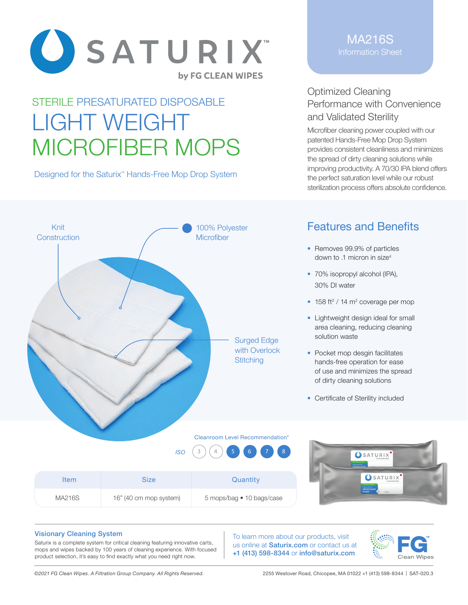

# STERILE PRESATURATED DISPOSABLE LIGHT WEIGHT MICROFIBER MOPS

Designed for the Saturix<sup>™</sup> Hands-Free Mop Drop System

#### MA216S Information Sheet

### Optimized Cleaning Performance with Convenience and Validated Sterility

Microfiber cleaning power coupled with our patented Hands-Free Mop Drop System provides consistent cleanliness and minimizes the spread of dirty cleaning solutions while improving productivity. A 70/30 IPA blend offers the perfect saturation level while our robust sterilization process offers absolute confidence.



Item Size Size Quantity

## Features and Benefits

- Removes 99.9% of particles down to .1 micron in size4
- 70% isopropyl alcohol (IPA), 30% DI water
- $\cdot$  158 ft<sup>2</sup> / 14 m<sup>2</sup> coverage per mop
- Lightweight design ideal for small area cleaning, reducing cleaning solution waste
- Pocket mop desgin facilitates hands-free operation for ease of use and minimizes the spread of dirty cleaning solutions
- Certificate of Sterility included



5 mops/bag • 10 bags/case



#### Visionary Cleaning System

Saturix is a complete system for critical cleaning featuring innovative carts, mops and wipes backed by 100 years of cleaning experience. With focused product selection, it's easy to find exactly what you need right now.

To learn more about our products, visit us online at **Saturix.com** or contact us at +1 (413) 598-8344 or info@saturix.com



MA216S 16" (40 cm mop system)